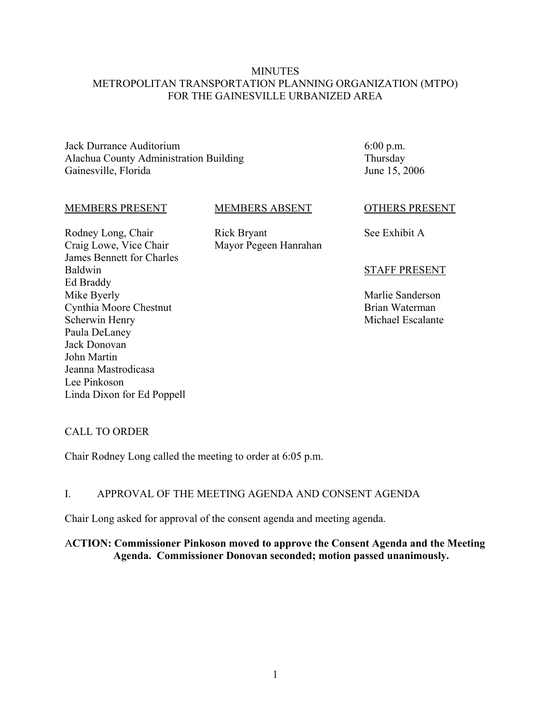## **MINUTES** METROPOLITAN TRANSPORTATION PLANNING ORGANIZATION (MTPO) FOR THE GAINESVILLE URBANIZED AREA

Jack Durrance Auditorium Alachua County Administration Building Gainesville, Florida

MEMBERS PRESENT

Cynthia Moore Chestnut

Scherwin Henry Paula DeLaney Jack Donovan John Martin

Rodney Long, Chair Craig Lowe, Vice Chair James Bennett for Charles

Baldwin Ed Braddy Mike Byerly

#### MEMBERS ABSENT

Rick Bryant Mayor Pegeen Hanrahan 6:00 p.m. Thursday June 15, 2006

## OTHERS PRESENT

See Exhibit A

#### STAFF PRESENT

Marlie Sanderson Brian Waterman Michael Escalante

## CALL TO ORDER

Jeanna Mastrodicasa

Linda Dixon for Ed Poppell

Lee Pinkoson

Chair Rodney Long called the meeting to order at 6:05 p.m.

### I. APPROVAL OF THE MEETING AGENDA AND CONSENT AGENDA

Chair Long asked for approval of the consent agenda and meeting agenda.

# A**CTION: Commissioner Pinkoson moved to approve the Consent Agenda and the Meeting Agenda. Commissioner Donovan seconded; motion passed unanimously.**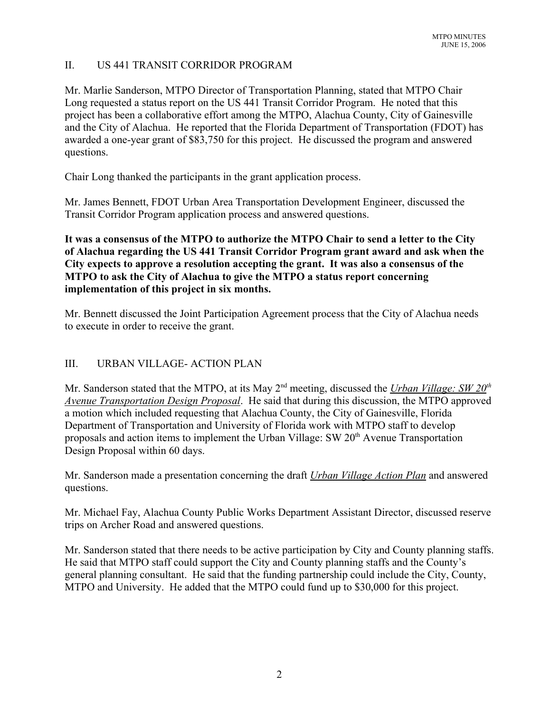# II. US 441 TRANSIT CORRIDOR PROGRAM

Mr. Marlie Sanderson, MTPO Director of Transportation Planning, stated that MTPO Chair Long requested a status report on the US 441 Transit Corridor Program. He noted that this project has been a collaborative effort among the MTPO, Alachua County, City of Gainesville and the City of Alachua. He reported that the Florida Department of Transportation (FDOT) has awarded a one-year grant of \$83,750 for this project. He discussed the program and answered questions.

Chair Long thanked the participants in the grant application process.

Mr. James Bennett, FDOT Urban Area Transportation Development Engineer, discussed the Transit Corridor Program application process and answered questions.

**It was a consensus of the MTPO to authorize the MTPO Chair to send a letter to the City of Alachua regarding the US 441 Transit Corridor Program grant award and ask when the City expects to approve a resolution accepting the grant. It was also a consensus of the MTPO to ask the City of Alachua to give the MTPO a status report concerning implementation of this project in six months.**

Mr. Bennett discussed the Joint Participation Agreement process that the City of Alachua needs to execute in order to receive the grant.

# III. URBAN VILLAGE- ACTION PLAN

Mr. Sanderson stated that the MTPO, at its May 2<sup>nd</sup> meeting, discussed the *Urban Village: SW 20<sup>th</sup> Avenue Transportation Design Proposal*. He said that during this discussion, the MTPO approved a motion which included requesting that Alachua County, the City of Gainesville, Florida Department of Transportation and University of Florida work with MTPO staff to develop proposals and action items to implement the Urban Village:  $SW 20<sup>th</sup>$  Avenue Transportation Design Proposal within 60 days.

Mr. Sanderson made a presentation concerning the draft *Urban Village Action Plan* and answered questions.

Mr. Michael Fay, Alachua County Public Works Department Assistant Director, discussed reserve trips on Archer Road and answered questions.

Mr. Sanderson stated that there needs to be active participation by City and County planning staffs. He said that MTPO staff could support the City and County planning staffs and the County's general planning consultant. He said that the funding partnership could include the City, County, MTPO and University. He added that the MTPO could fund up to \$30,000 for this project.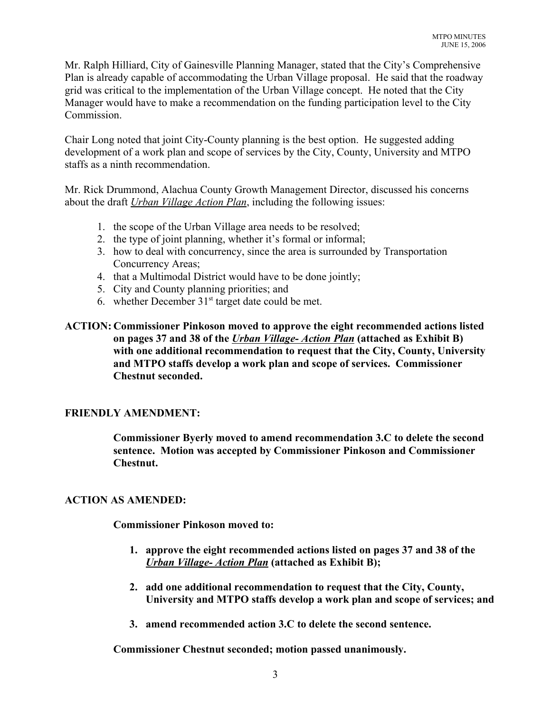Mr. Ralph Hilliard, City of Gainesville Planning Manager, stated that the City's Comprehensive Plan is already capable of accommodating the Urban Village proposal. He said that the roadway grid was critical to the implementation of the Urban Village concept. He noted that the City Manager would have to make a recommendation on the funding participation level to the City Commission.

Chair Long noted that joint City-County planning is the best option. He suggested adding development of a work plan and scope of services by the City, County, University and MTPO staffs as a ninth recommendation.

Mr. Rick Drummond, Alachua County Growth Management Director, discussed his concerns about the draft *Urban Village Action Plan*, including the following issues:

- 1. the scope of the Urban Village area needs to be resolved;
- 2. the type of joint planning, whether it's formal or informal;
- 3. how to deal with concurrency, since the area is surrounded by Transportation Concurrency Areas;
- 4. that a Multimodal District would have to be done jointly;
- 5. City and County planning priorities; and
- 6. whether December  $31<sup>st</sup>$  target date could be met.

# **ACTION: Commissioner Pinkoson moved to approve the eight recommended actions listed on pages 37 and 38 of the** *Urban Village- Action Plan* **(attached as Exhibit B) with one additional recommendation to request that the City, County, University and MTPO staffs develop a work plan and scope of services. Commissioner Chestnut seconded.**

# **FRIENDLY AMENDMENT:**

**Commissioner Byerly moved to amend recommendation 3.C to delete the second sentence. Motion was accepted by Commissioner Pinkoson and Commissioner Chestnut.**

## **ACTION AS AMENDED:**

**Commissioner Pinkoson moved to:** 

- **1. approve the eight recommended actions listed on pages 37 and 38 of the** *Urban Village- Action Plan* **(attached as Exhibit B);**
- **2. add one additional recommendation to request that the City, County, University and MTPO staffs develop a work plan and scope of services; and**
- **3. amend recommended action 3.C to delete the second sentence.**

**Commissioner Chestnut seconded; motion passed unanimously.**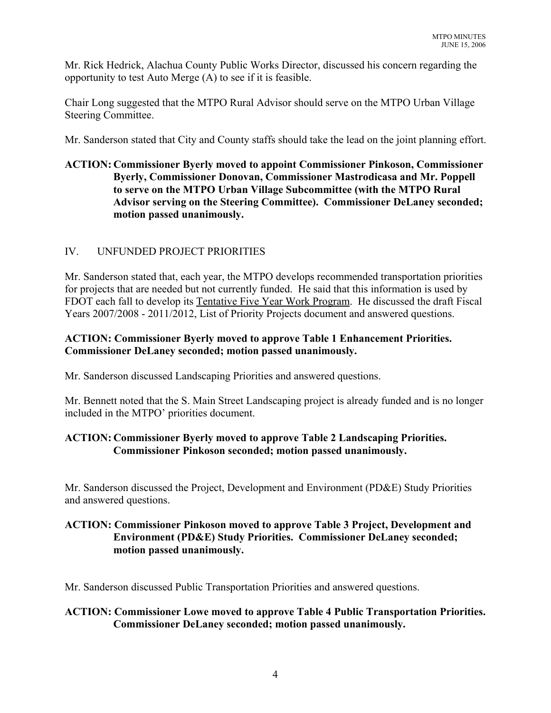Mr. Rick Hedrick, Alachua County Public Works Director, discussed his concern regarding the opportunity to test Auto Merge (A) to see if it is feasible.

Chair Long suggested that the MTPO Rural Advisor should serve on the MTPO Urban Village Steering Committee.

Mr. Sanderson stated that City and County staffs should take the lead on the joint planning effort.

# **ACTION: Commissioner Byerly moved to appoint Commissioner Pinkoson, Commissioner Byerly, Commissioner Donovan, Commissioner Mastrodicasa and Mr. Poppell to serve on the MTPO Urban Village Subcommittee (with the MTPO Rural Advisor serving on the Steering Committee). Commissioner DeLaney seconded; motion passed unanimously.**

# IV. UNFUNDED PROJECT PRIORITIES

Mr. Sanderson stated that, each year, the MTPO develops recommended transportation priorities for projects that are needed but not currently funded. He said that this information is used by FDOT each fall to develop its Tentative Five Year Work Program. He discussed the draft Fiscal Years 2007/2008 - 2011/2012, List of Priority Projects document and answered questions.

# **ACTION: Commissioner Byerly moved to approve Table 1 Enhancement Priorities. Commissioner DeLaney seconded; motion passed unanimously.**

Mr. Sanderson discussed Landscaping Priorities and answered questions.

Mr. Bennett noted that the S. Main Street Landscaping project is already funded and is no longer included in the MTPO' priorities document.

# **ACTION: Commissioner Byerly moved to approve Table 2 Landscaping Priorities. Commissioner Pinkoson seconded; motion passed unanimously.**

Mr. Sanderson discussed the Project, Development and Environment (PD&E) Study Priorities and answered questions.

# **ACTION: Commissioner Pinkoson moved to approve Table 3 Project, Development and Environment (PD&E) Study Priorities. Commissioner DeLaney seconded; motion passed unanimously.**

Mr. Sanderson discussed Public Transportation Priorities and answered questions.

# **ACTION: Commissioner Lowe moved to approve Table 4 Public Transportation Priorities. Commissioner DeLaney seconded; motion passed unanimously.**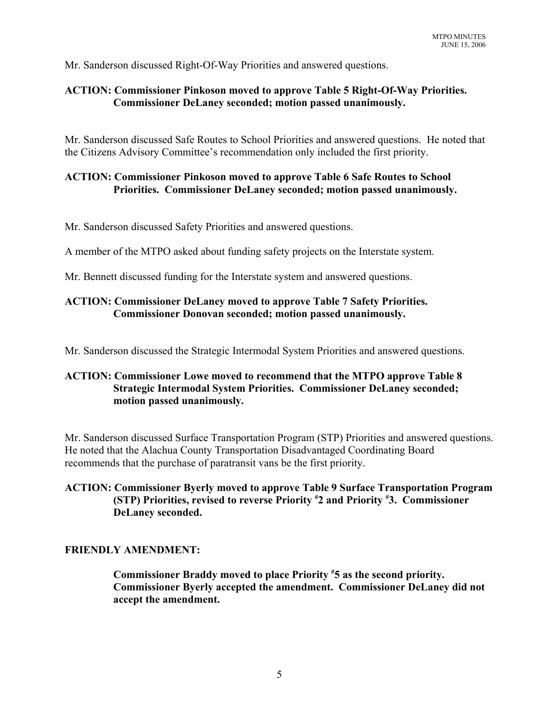Mr. Sanderson discussed Right-Of-Way Priorities and answered questions.

# **ACTION: Commissioner Pinkoson moved to approve Table 5 Right-Of-Way Priorities. Commissioner DeLaney seconded; motion passed unanimously.**

Mr. Sanderson discussed Safe Routes to School Priorities and answered questions. He noted that the Citizens Advisory Committee's recommendation only included the first priority.

# **ACTION: Commissioner Pinkoson moved to approve Table 6 Safe Routes to School Priorities. Commissioner DeLaney seconded; motion passed unanimously.**

Mr. Sanderson discussed Safety Priorities and answered questions.

A member of the MTPO asked about funding safety projects on the Interstate system.

Mr. Bennett discussed funding for the Interstate system and answered questions.

# **ACTION: Commissioner DeLaney moved to approve Table 7 Safety Priorities. Commissioner Donovan seconded; motion passed unanimously.**

Mr. Sanderson discussed the Strategic Intermodal System Priorities and answered questions.

# **ACTION: Commissioner Lowe moved to recommend that the MTPO approve Table 8 Strategic Intermodal System Priorities. Commissioner DeLaney seconded; motion passed unanimously.**

Mr. Sanderson discussed Surface Transportation Program (STP) Priorities and answered questions. He noted that the Alachua County Transportation Disadvantaged Coordinating Board recommends that the purchase of paratransit vans be the first priority.

# **ACTION: Commissioner Byerly moved to approve Table 9 Surface Transportation Program (STP) Priorities, revised to reverse Priority # 2 and Priority # 3. Commissioner DeLaney seconded.**

# **FRIENDLY AMENDMENT:**

**Commissioner Braddy moved to place Priority # 5 as the second priority. Commissioner Byerly accepted the amendment. Commissioner DeLaney did not accept the amendment.**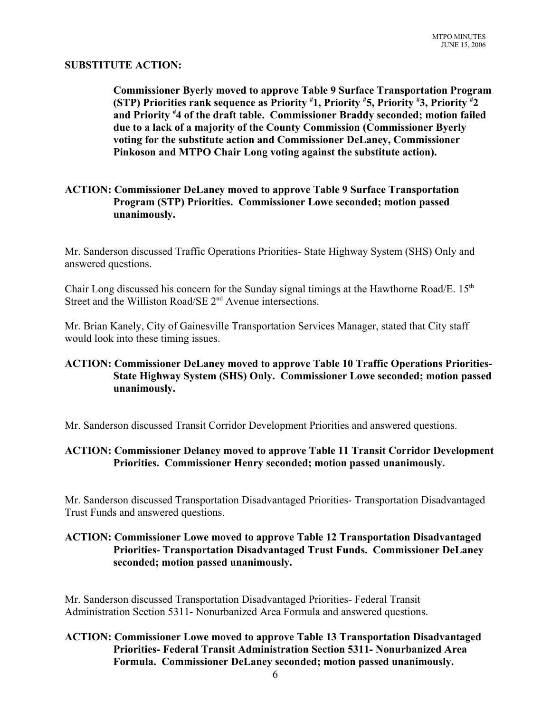## **SUBSTITUTE ACTION:**

**Commissioner Byerly moved to approve Table 9 Surface Transportation Program (STP) Priorities rank sequence as Priority # 1, Priority # 5, Priority # 3, Priority # 2 and Priority # 4 of the draft table. Commissioner Braddy seconded; motion failed due to a lack of a majority of the County Commission (Commissioner Byerly voting for the substitute action and Commissioner DeLaney, Commissioner Pinkoson and MTPO Chair Long voting against the substitute action).**

# **ACTION: Commissioner DeLaney moved to approve Table 9 Surface Transportation Program (STP) Priorities. Commissioner Lowe seconded; motion passed unanimously.**

Mr. Sanderson discussed Traffic Operations Priorities- State Highway System (SHS) Only and answered questions.

Chair Long discussed his concern for the Sunday signal timings at the Hawthorne Road/E. 15<sup>th</sup> Street and the Williston Road/SE 2<sup>nd</sup> Avenue intersections.

Mr. Brian Kanely, City of Gainesville Transportation Services Manager, stated that City staff would look into these timing issues.

# **ACTION: Commissioner DeLaney moved to approve Table 10 Traffic Operations Priorities-State Highway System (SHS) Only. Commissioner Lowe seconded; motion passed unanimously.**

Mr. Sanderson discussed Transit Corridor Development Priorities and answered questions.

# **ACTION: Commissioner Delaney moved to approve Table 11 Transit Corridor Development Priorities. Commissioner Henry seconded; motion passed unanimously.**

Mr. Sanderson discussed Transportation Disadvantaged Priorities- Transportation Disadvantaged Trust Funds and answered questions.

# **ACTION: Commissioner Lowe moved to approve Table 12 Transportation Disadvantaged Priorities- Transportation Disadvantaged Trust Funds. Commissioner DeLaney seconded; motion passed unanimously.**

Mr. Sanderson discussed Transportation Disadvantaged Priorities- Federal Transit Administration Section 5311- Nonurbanized Area Formula and answered questions.

# **ACTION: Commissioner Lowe moved to approve Table 13 Transportation Disadvantaged Priorities- Federal Transit Administration Section 5311- Nonurbanized Area Formula. Commissioner DeLaney seconded; motion passed unanimously.**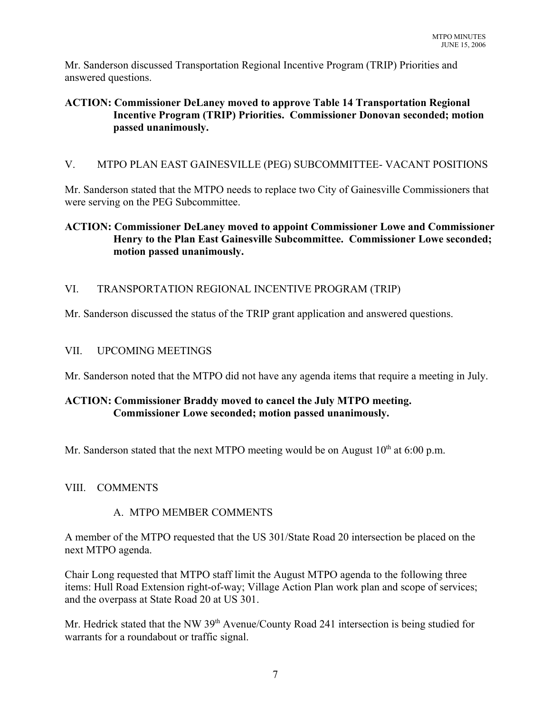Mr. Sanderson discussed Transportation Regional Incentive Program (TRIP) Priorities and answered questions.

# **ACTION: Commissioner DeLaney moved to approve Table 14 Transportation Regional Incentive Program (TRIP) Priorities. Commissioner Donovan seconded; motion passed unanimously.**

# V. MTPO PLAN EAST GAINESVILLE (PEG) SUBCOMMITTEE- VACANT POSITIONS

Mr. Sanderson stated that the MTPO needs to replace two City of Gainesville Commissioners that were serving on the PEG Subcommittee.

# **ACTION: Commissioner DeLaney moved to appoint Commissioner Lowe and Commissioner Henry to the Plan East Gainesville Subcommittee. Commissioner Lowe seconded; motion passed unanimously.**

# VI. TRANSPORTATION REGIONAL INCENTIVE PROGRAM (TRIP)

Mr. Sanderson discussed the status of the TRIP grant application and answered questions.

# VII. UPCOMING MEETINGS

Mr. Sanderson noted that the MTPO did not have any agenda items that require a meeting in July.

# **ACTION: Commissioner Braddy moved to cancel the July MTPO meeting. Commissioner Lowe seconded; motion passed unanimously.**

Mr. Sanderson stated that the next MTPO meeting would be on August  $10<sup>th</sup>$  at 6:00 p.m.

# VIII. COMMENTS

# A. MTPO MEMBER COMMENTS

A member of the MTPO requested that the US 301/State Road 20 intersection be placed on the next MTPO agenda.

Chair Long requested that MTPO staff limit the August MTPO agenda to the following three items: Hull Road Extension right-of-way; Village Action Plan work plan and scope of services; and the overpass at State Road 20 at US 301.

Mr. Hedrick stated that the NW 39<sup>th</sup> Avenue/County Road 241 intersection is being studied for warrants for a roundabout or traffic signal.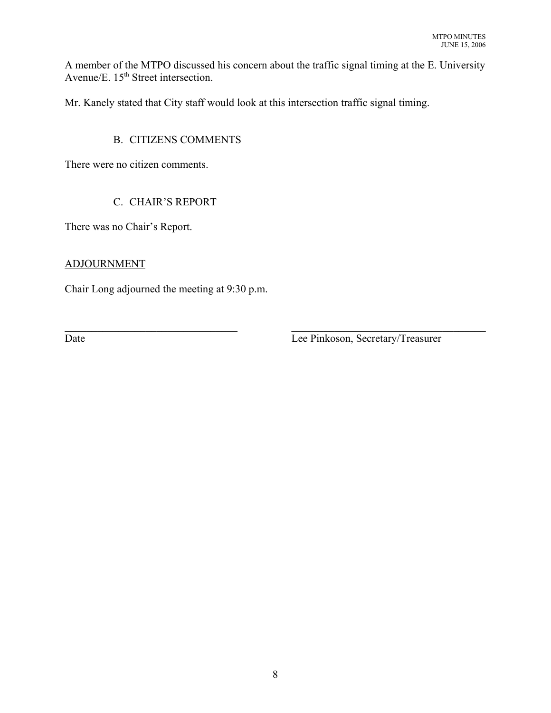A member of the MTPO discussed his concern about the traffic signal timing at the E. University Avenue/E.  $15<sup>th</sup>$  Street intersection.

Mr. Kanely stated that City staff would look at this intersection traffic signal timing.

# B. CITIZENS COMMENTS

There were no citizen comments.

# C. CHAIR'S REPORT

There was no Chair's Report.

# ADJOURNMENT

Chair Long adjourned the meeting at 9:30 p.m.

 $\mathcal{L}_\text{max} = \mathcal{L}_\text{max} = \mathcal{L}_\text{max} = \mathcal{L}_\text{max} = \mathcal{L}_\text{max} = \mathcal{L}_\text{max} = \mathcal{L}_\text{max} = \mathcal{L}_\text{max} = \mathcal{L}_\text{max} = \mathcal{L}_\text{max} = \mathcal{L}_\text{max} = \mathcal{L}_\text{max} = \mathcal{L}_\text{max} = \mathcal{L}_\text{max} = \mathcal{L}_\text{max} = \mathcal{L}_\text{max} = \mathcal{L}_\text{max} = \mathcal{L}_\text{max} = \mathcal{$ Date **Date** Lee Pinkoson, Secretary/Treasurer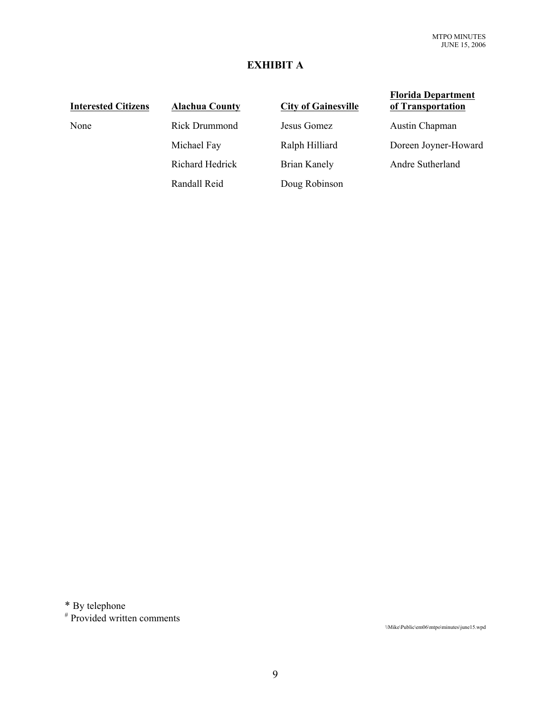# **EXHIBIT A**

Randall Reid Doug Robinson

**Interested Citizens Alachua County City of Gainesville** None Rick Drummond Jesus Gomez Austin Chapman Michael Fay Ralph Hilliard Doreen Joyner-Howard Richard Hedrick Brian Kanely Andre Sutherland

## **Florida Department of Transportation**

\* By telephone

# Provided written comments

\\Mike\Public\em06\mtpo\minutes\june15.wpd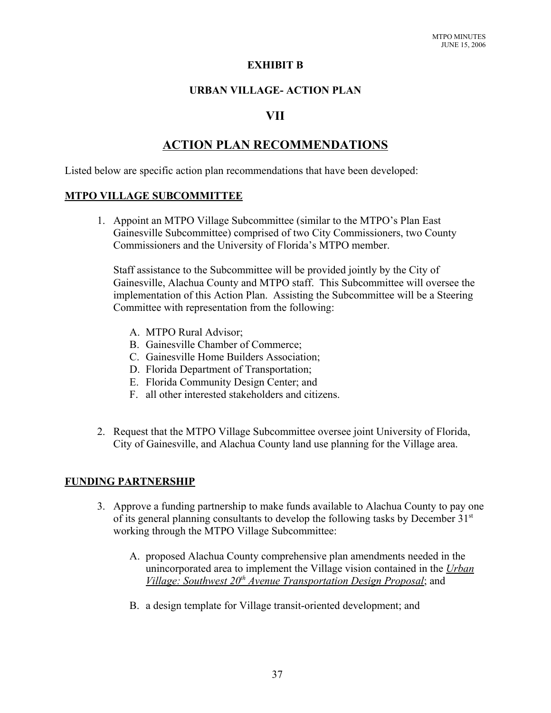## **EXHIBIT B**

# **URBAN VILLAGE- ACTION PLAN**

# **VII**

# **ACTION PLAN RECOMMENDATIONS**

Listed below are specific action plan recommendations that have been developed:

## **MTPO VILLAGE SUBCOMMITTEE**

1. Appoint an MTPO Village Subcommittee (similar to the MTPO's Plan East Gainesville Subcommittee) comprised of two City Commissioners, two County Commissioners and the University of Florida's MTPO member.

Staff assistance to the Subcommittee will be provided jointly by the City of Gainesville, Alachua County and MTPO staff. This Subcommittee will oversee the implementation of this Action Plan. Assisting the Subcommittee will be a Steering Committee with representation from the following:

- A. MTPO Rural Advisor;
- B. Gainesville Chamber of Commerce;
- C. Gainesville Home Builders Association;
- D. Florida Department of Transportation;
- E. Florida Community Design Center; and
- F. all other interested stakeholders and citizens.
- 2. Request that the MTPO Village Subcommittee oversee joint University of Florida, City of Gainesville, and Alachua County land use planning for the Village area.

# **FUNDING PARTNERSHIP**

- 3. Approve a funding partnership to make funds available to Alachua County to pay one of its general planning consultants to develop the following tasks by December  $31<sup>st</sup>$ working through the MTPO Village Subcommittee:
	- A. proposed Alachua County comprehensive plan amendments needed in the unincorporated area to implement the Village vision contained in the *Urban Village: Southwest 20th Avenue Transportation Design Proposal*; and
	- B. a design template for Village transit-oriented development; and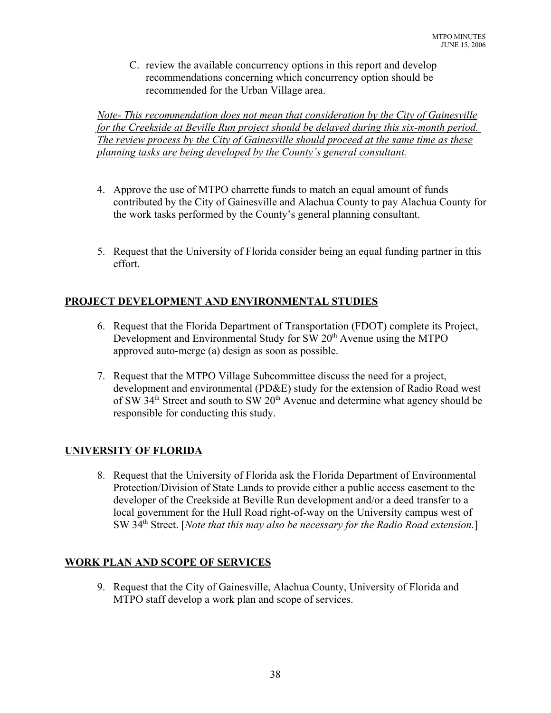C. review the available concurrency options in this report and develop recommendations concerning which concurrency option should be recommended for the Urban Village area.

*Note- This recommendation does not mean that consideration by the City of Gainesville for the Creekside at Beville Run project should be delayed during this six-month period. The review process by the City of Gainesville should proceed at the same time as these planning tasks are being developed by the County's general consultant.*

- 4. Approve the use of MTPO charrette funds to match an equal amount of funds contributed by the City of Gainesville and Alachua County to pay Alachua County for the work tasks performed by the County's general planning consultant.
- 5. Request that the University of Florida consider being an equal funding partner in this effort.

# **PROJECT DEVELOPMENT AND ENVIRONMENTAL STUDIES**

- 6. Request that the Florida Department of Transportation (FDOT) complete its Project, Development and Environmental Study for SW 20<sup>th</sup> Avenue using the MTPO approved auto-merge (a) design as soon as possible.
- 7. Request that the MTPO Village Subcommittee discuss the need for a project, development and environmental (PD&E) study for the extension of Radio Road west of SW 34<sup>th</sup> Street and south to SW 20<sup>th</sup> Avenue and determine what agency should be responsible for conducting this study.

# **UNIVERSITY OF FLORIDA**

8. Request that the University of Florida ask the Florida Department of Environmental Protection/Division of State Lands to provide either a public access easement to the developer of the Creekside at Beville Run development and/or a deed transfer to a local government for the Hull Road right-of-way on the University campus west of SW 34<sup>th</sup> Street. [*Note that this may also be necessary for the Radio Road extension.*]

# **WORK PLAN AND SCOPE OF SERVICES**

9. Request that the City of Gainesville, Alachua County, University of Florida and MTPO staff develop a work plan and scope of services.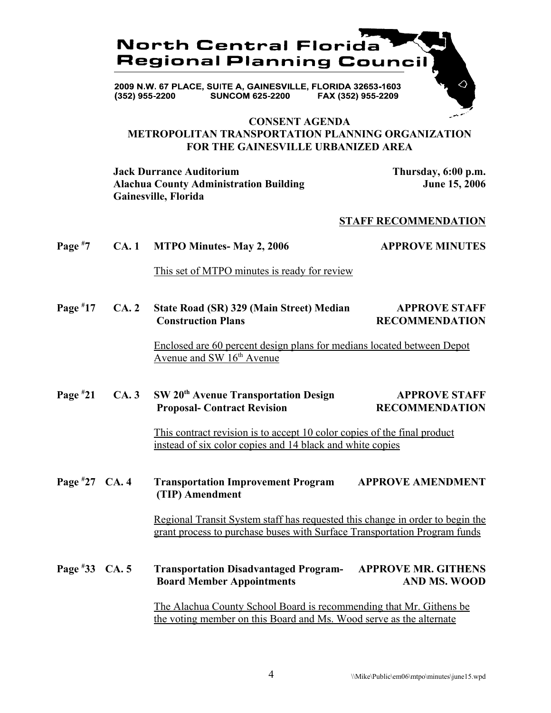

FAX (352) 955-2209 **SUNCOM 625-2200** (352) 955-2200

## **CONSENT AGENDA METROPOLITAN TRANSPORTATION PLANNING ORGANIZATION FOR THE GAINESVILLE URBANIZED AREA**

**Jack Durrance Auditorium Thursday, 6:00 p.m.** Alachua County Administration Building **June 15, 2006 Gainesville, Florida**

#### **STAFF RECOMMENDATION**

#### **Page # 7 CA. 1 MTPO Minutes- May 2, 2006 APPROVE MINUTES**

This set of MTPO minutes is ready for review

**Page # 17 CA. 2 State Road (SR) 329 (Main Street) Median APPROVE STAFF Construction Plans** RECOMMENDATION

> Enclosed are 60 percent design plans for medians located between Depot Avenue and SW  $16<sup>th</sup>$  Avenue

#### **Page #** CA. 3 SW 20<sup>th</sup> Avenue Transportation Design APPROVE STAFF **Proposal- Contract Revision RECOMMENDATION**

This contract revision is to accept 10 color copies of the final product instead of six color copies and 14 black and white copies

**Page # 27 Transportation Improvement Program APPROVE AMENDMENT (TIP) Amendment**

> Regional Transit System staff has requested this change in order to begin the grant process to purchase buses with Surface Transportation Program funds

**Page # 33 CA. 5 Transportation Disadvantaged Program- APPROVE MR. GITHENS Board Member Appointments** AND MS. WOOD

> The Alachua County School Board is recommending that Mr. Githens be the voting member on this Board and Ms. Wood serve as the alternate